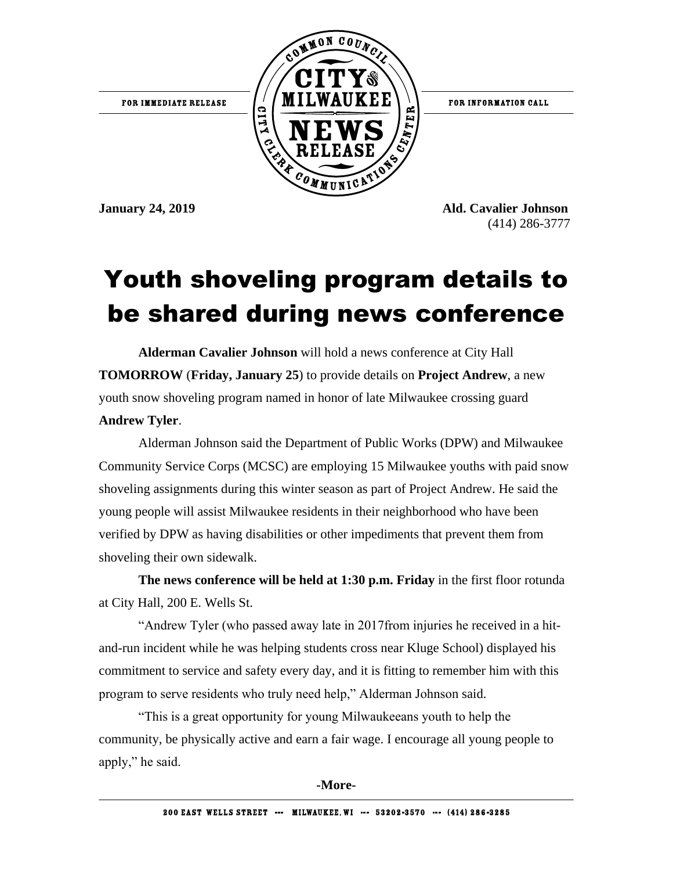

**January 24, 2019 Ald. Cavalier Johnson** (414) 286-3777

## Youth shoveling program details to be shared during news conference

**Alderman Cavalier Johnson** will hold a news conference at City Hall **TOMORROW** (**Friday, January 25**) to provide details on **Project Andrew**, a new youth snow shoveling program named in honor of late Milwaukee crossing guard **Andrew Tyler**.

Alderman Johnson said the Department of Public Works (DPW) and Milwaukee Community Service Corps (MCSC) are employing 15 Milwaukee youths with paid snow shoveling assignments during this winter season as part of Project Andrew. He said the young people will assist Milwaukee residents in their neighborhood who have been verified by DPW as having disabilities or other impediments that prevent them from shoveling their own sidewalk.

**The news conference will be held at 1:30 p.m. Friday** in the first floor rotunda at City Hall, 200 E. Wells St.

"Andrew Tyler (who passed away late in 2017from injuries he received in a hitand-run incident while he was helping students cross near Kluge School) displayed his commitment to service and safety every day, and it is fitting to remember him with this program to serve residents who truly need help," Alderman Johnson said.

"This is a great opportunity for young Milwaukeeans youth to help the community, be physically active and earn a fair wage. I encourage all young people to apply," he said.

**-More-**